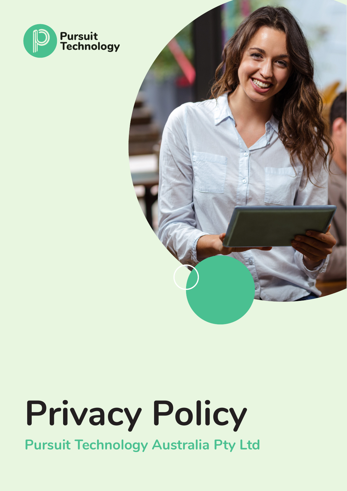



# **Privacy Policy**

**Pursuit Technology Australia Pty Ltd**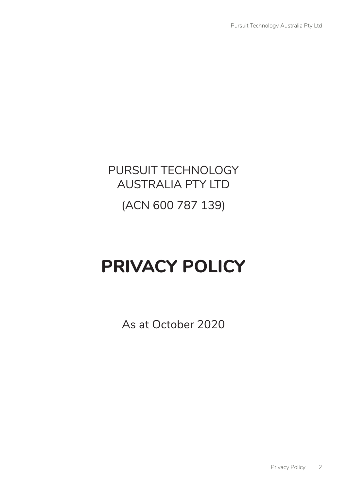## PURSUIT TECHNOLOGY AUSTRALIA PTY LTD

### (ACN 600 787 139)

## **PRIVACY POLICY**

As at October 2020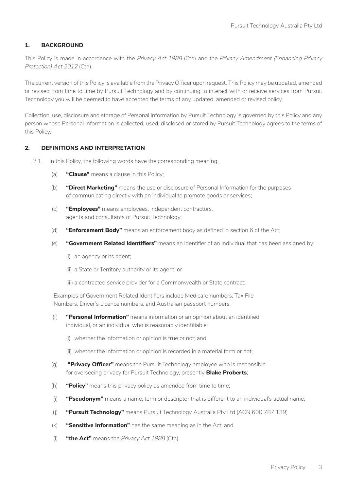#### **1. BACKGROUND**

This Policy is made in accordance with the *Privacy Act 1988* (Cth) and the *Privacy Amendment (Enhancing Privacy Protection) Act 2012* (Cth).

The current version of this Policy is available from the Privacy Officer upon request. This Policy may be updated, amended or revised from time to time by Pursuit Technology and by continuing to interact with or receive services from Pursuit Technology you will be deemed to have accepted the terms of any updated, amended or revised policy.

Collection, use, disclosure and storage of Personal Information by Pursuit Technology is governed by this Policy and any person whose Personal Information is collected, used, disclosed or stored by Pursuit Technology agrees to the terms of this Policy.

#### **2. DEFINITIONS AND INTERPRETATION**

- 2.1. In this Policy, the following words have the corresponding meaning:
	- (a) **"Clause"** means a clause in this Policy;
	- (b) **"Direct Marketing"** means the use or disclosure of Personal Information for the purposes of communicating directly with an individual to promote goods or services;
	- (c) **"Employees"** means employees, independent contractors, agents and consultants of Pursuit Technology;
	- (d) **"Enforcement Body"** means an enforcement body as defined in section 6 of the Act;
	- (e) **"Government Related Identifiers"** means an identifier of an individual that has been assigned by:
		- (i) an agency or its agent;
		- (ii) a State or Territory authority or its agent; or
		- (iii) a contracted service provider for a Commonwealth or State contract;

Examples of Government Related Identifiers include Medicare numbers, Tax File Numbers, Driver's Licence numbers, and Australian passport numbers.

- (f) **"Personal Information"** means information or an opinion about an identified individual, or an individual who is reasonably identifiable:
	- (i) whether the information or opinion is true or not; and
	- (ii) whether the information or opinion is recorded in a material form or not;
- (g) **"Privacy Officer"** means the Pursuit Technology employee who is responsible for overseeing privacy for Pursuit Technology, presently **Blake Proberts**;
- (h) **"Policy"** means this privacy policy as amended from time to time;
- (i) **"Pseudonym"** means a name, term or descriptor that is different to an individual's actual name;
- (j) **"Pursuit Technology"** means Pursuit Technology Australia Pty Ltd (ACN 600 787 139)
- (k) **"Sensitive Information"** has the same meaning as in the Act; and
- (l) **"the Act"** means the *Privacy Act 1988* (Cth).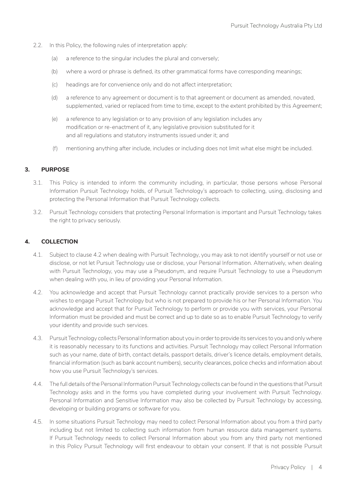- 2.2. In this Policy, the following rules of interpretation apply:
	- (a) a reference to the singular includes the plural and conversely;
	- (b) where a word or phrase is defined, its other grammatical forms have corresponding meanings;
	- (c) headings are for convenience only and do not affect interpretation;
	- (d) a reference to any agreement or document is to that agreement or document as amended, novated, supplemented, varied or replaced from time to time, except to the extent prohibited by this Agreement;
	- (e) a reference to any legislation or to any provision of any legislation includes any modification or re-enactment of it, any legislative provision substituted for it and all regulations and statutory instruments issued under it; and
	- (f) mentioning anything after include, includes or including does not limit what else might be included.

#### **3. PURPOSE**

- 3.1. This Policy is intended to inform the community including, in particular, those persons whose Personal Information Pursuit Technology holds, of Pursuit Technology's approach to collecting, using, disclosing and protecting the Personal Information that Pursuit Technology collects.
- 3.2. Pursuit Technology considers that protecting Personal Information is important and Pursuit Technology takes the right to privacy seriously.

#### **4. COLLECTION**

- 4.1. Subject to clause 4.2 when dealing with Pursuit Technology, you may ask to not identify yourself or not use or disclose, or not let Pursuit Technology use or disclose, your Personal Information. Alternatively, when dealing with Pursuit Technology, you may use a Pseudonym, and require Pursuit Technology to use a Pseudonym when dealing with you, in lieu of providing your Personal Information.
- 4.2. You acknowledge and accept that Pursuit Technology cannot practically provide services to a person who wishes to engage Pursuit Technology but who is not prepared to provide his or her Personal Information. You acknowledge and accept that for Pursuit Technology to perform or provide you with services, your Personal Information must be provided and must be correct and up to date so as to enable Pursuit Technology to verify your identity and provide such services.
- 4.3. Pursuit Technology collects Personal Information about you in order to provide its services to you and only where it is reasonably necessary to its functions and activities. Pursuit Technology may collect Personal Information such as your name, date of birth, contact details, passport details, driver's licence details, employment details, financial information (such as bank account numbers), security clearances, police checks and information about how you use Pursuit Technology's services.
- 4.4. The full details of the Personal Information Pursuit Technology collects can be found in the questions that Pursuit Technology asks and in the forms you have completed during your involvement with Pursuit Technology. Personal Information and Sensitive Information may also be collected by Pursuit Technology by accessing, developing or building programs or software for you.
- 4.5. In some situations Pursuit Technology may need to collect Personal Information about you from a third party including but not limited to collecting such information from human resource data management systems. If Pursuit Technology needs to collect Personal Information about you from any third party not mentioned in this Policy Pursuit Technology will first endeavour to obtain your consent. If that is not possible Pursuit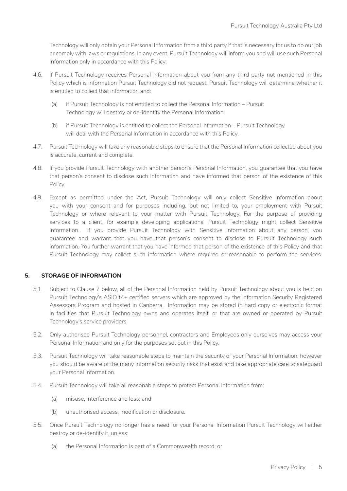Technology will only obtain your Personal Information from a third party if that is necessary for us to do our job or comply with laws or regulations. In any event, Pursuit Technology will inform you and will use such Personal Information only in accordance with this Policy.

- 4.6. If Pursuit Technology receives Personal Information about you from any third party not mentioned in this Policy which is information Pursuit Technology did not request, Pursuit Technology will determine whether it is entitled to collect that information and:
	- (a) if Pursuit Technology is not entitled to collect the Personal Information Pursuit Technology will destroy or de-identify the Personal Information;
	- (b) if Pursuit Technology is entitled to collect the Personal Information Pursuit Technology will deal with the Personal Information in accordance with this Policy.
- 4.7. Pursuit Technology will take any reasonable steps to ensure that the Personal Information collected about you is accurate, current and complete.
- 4.8. If you provide Pursuit Technology with another person's Personal Information, you guarantee that you have that person's consent to disclose such information and have informed that person of the existence of this Policy.
- 4.9. Except as permitted under the Act, Pursuit Technology will only collect Sensitive Information about you with your consent and for purposes including, but not limited to, your employment with Pursuit Technology or where relevant to your matter with Pursuit Technology. For the purpose of providing services to a client, for example developing applications, Pursuit Technology might collect Sensitive Information. If you provide Pursuit Technology with Sensitive Information about any person, you guarantee and warrant that you have that person's consent to disclose to Pursuit Technology such information. You further warrant that you have informed that person of the existence of this Policy and that Pursuit Technology may collect such information where required or reasonable to perform the services.

#### **5. STORAGE OF INFORMATION**

- 5.1. Subject to Clause 7 below, all of the Personal Information held by Pursuit Technology about you is held on Pursuit Technology's ASIO t4+ certified servers which are approved by the Information Security Registered Assessors Program and hosted in Canberra. Information may be stored in hard copy or electronic format in facilities that Pursuit Technology owns and operates itself, or that are owned or operated by Pursuit Technology's service providers.
- 5.2. Only authorised Pursuit Technology personnel, contractors and Employees only ourselves may access your Personal Information and only for the purposes set out in this Policy.
- 5.3. Pursuit Technology will take reasonable steps to maintain the security of your Personal Information; however you should be aware of the many information security risks that exist and take appropriate care to safeguard your Personal Information.
- 5.4. Pursuit Technology will take all reasonable steps to protect Personal Information from:
	- (a) misuse, interference and loss; and
	- (b) unauthorised access, modification or disclosure.
- 5.5. Once Pursuit Technology no longer has a need for your Personal Information Pursuit Technology will either destroy or de-identify it, unless:
	- (a) the Personal Information is part of a Commonwealth record; or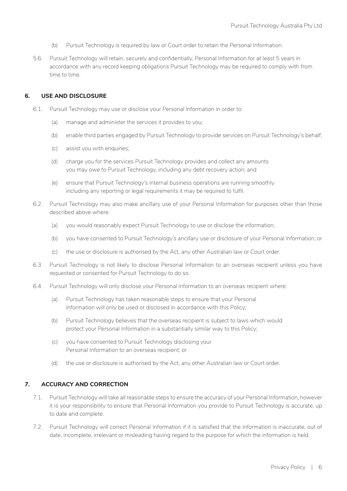- (b) Pursuit Technology is required by law or Court order to retain the Personal Information.
- 5.6. Pursuit Technology will retain, securely and confidentially, Personal Information for at least 5 years in accordance with any record keeping obligations Pursuit Technology may be required to comply with from time to time.

#### **6. USE AND DISCLOSURE**

- 6.1. Pursuit Technology may use or disclose your Personal Information in order to:
	- (a) manage and administer the services it provides to you;
	- (b) enable third parties engaged by Pursuit Technology to provide services on Pursuit Technology's behalf;
	- (c) assist you with enquiries;
	- (d) charge you for the services Pursuit Technology provides and collect any amounts you may owe to Pursuit Technology, including any debt recovery action; and
	- (e) ensure that Pursuit Technology's internal business operations are running smoothly including any reporting or legal requirements it may be required to fulfil.
- 6.2. Pursuit Technology may also make ancillary use of your Personal Information for purposes other than those described above where:
	- (a) you would reasonably expect Pursuit Technology to use or disclose the information;
	- (b) you have consented to Pursuit Technology's ancillary use or disclosure of your Personal Information; or
	- (c) the use or disclosure is authorised by the Act, any other Australian law or Court order.
- 6.3. Pursuit Technology is not likely to disclose Personal Information to an overseas recipient unless you have requested or consented for Pursuit Technology to do so.
- 6.4. Pursuit Technology will only disclose your Personal Information to an overseas recipient where:
	- (a) Pursuit Technology has taken reasonable steps to ensure that your Personal Information will only be used or disclosed in accordance with this Policy;
	- (b) Pursuit Technology believes that the overseas recipient is subject to laws which would protect your Personal Information in a substantially similar way to this Policy;
	- (c) you have consented to Pursuit Technology disclosing your Personal Information to an overseas recipient; or
	- (d) the use or disclosure is authorised by the Act, any other Australian law or Court order.

#### **7. ACCURACY AND CORRECTION**

- 7.1. Pursuit Technology will take all reasonable steps to ensure the accuracy of your Personal Information, however it is your responsibility to ensure that Personal Information you provide to Pursuit Technology is accurate, up to date and complete.
- 7.2. Pursuit Technology will correct Personal Information if it is satisfied that the information is inaccurate, out of date, incomplete, irrelevant or misleading having regard to the purpose for which the information is held.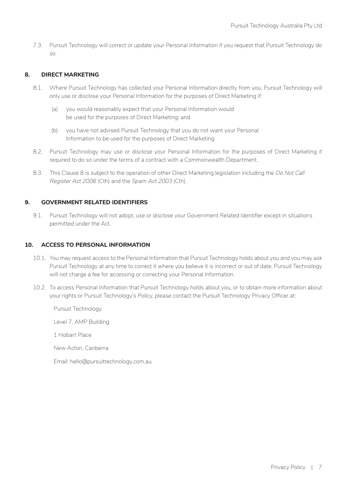7.3. Pursuit Technology will correct or update your Personal Information if you request that Pursuit Technology do so.

#### **8. DIRECT MARKETING**

- 8.1. Where Pursuit Technology has collected your Personal Information directly from you, Pursuit Technology will only use or disclose your Personal Information for the purposes of Direct Marketing if:
	- (a) you would reasonably expect that your Personal Information would be used for the purposes of Direct Marketing; and
	- (b) you have not advised Pursuit Technology that you do not want your Personal Information to be used for the purposes of Direct Marketing.
- 8.2. Pursuit Technology may use or disclose your Personal Information for the purposes of Direct Marketing if required to do so under the terms of a contract with a Commonwealth Department.
- 8.3. This Clause 8 is subject to the operation of other Direct Marketing legislation including the *Do Not Call Register Act 2006* (Cth) and the *Spam Act 2003* (Cth).

#### **9. GOVERNMENT RELATED IDENTIFIERS**

9.1. Pursuit Technology will not adopt, use or disclose your Government Related Identifier except in situations permitted under the Act.

#### **10. ACCESS TO PERSONAL INFORMATION**

- 10.1. You may request access to the Personal Information that Pursuit Technology holds about you and you may ask Pursuit Technology at any time to correct it where you believe it is incorrect or out of date. Pursuit Technology will not charge a fee for accessing or correcting your Personal Information.
- 10.2. To access Personal Information that Pursuit Technology holds about you, or to obtain more information about your rights or Pursuit Technology's Policy, please contact the Pursuit Technology Privacy Officer at:

Pursuit Technology Level 7, AMP Building 1 Hobart Place New Acton, Canberra

Email: hello@pursuittechnology.com.au